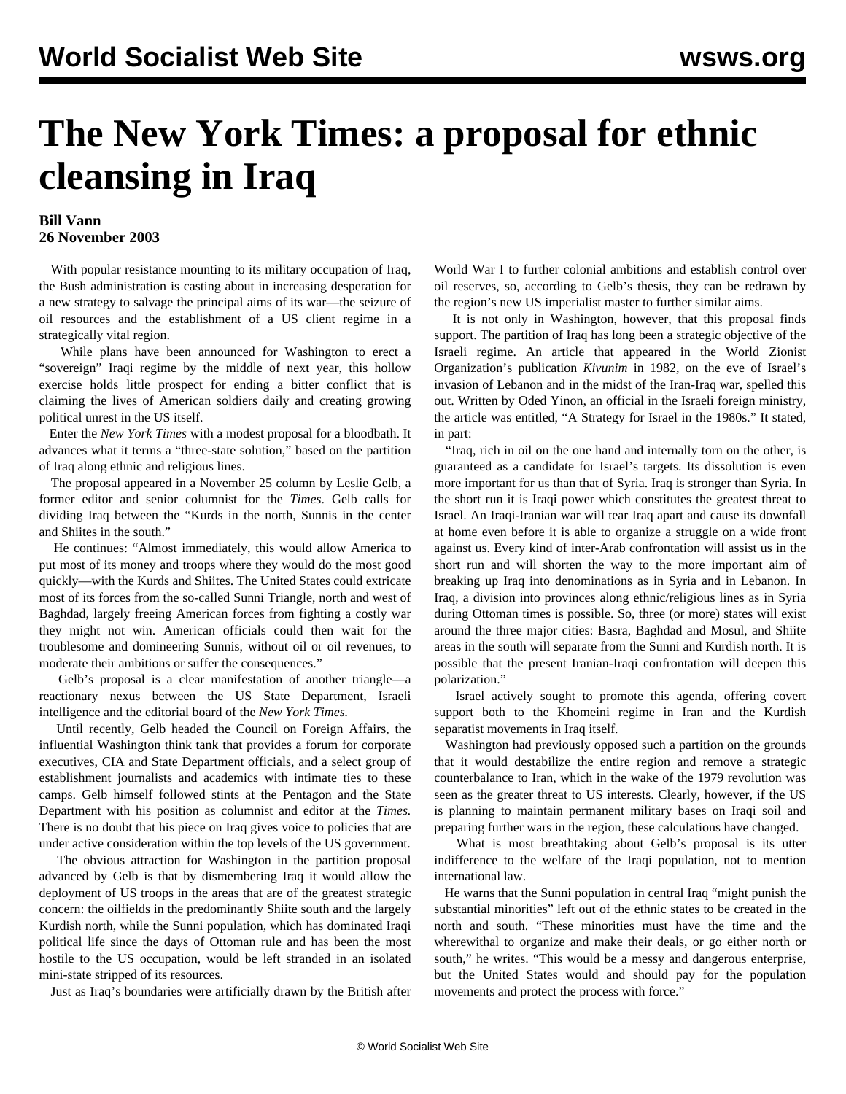## **The New York Times: a proposal for ethnic cleansing in Iraq**

## **Bill Vann 26 November 2003**

With popular resistance mounting to its military occupation of Iraq, the Bush administration is casting about in increasing desperation for a new strategy to salvage the principal aims of its war—the seizure of oil resources and the establishment of a US client regime in a strategically vital region.

 While plans have been announced for Washington to erect a "sovereign" Iraqi regime by the middle of next year, this hollow exercise holds little prospect for ending a bitter conflict that is claiming the lives of American soldiers daily and creating growing political unrest in the US itself.

 Enter the *New York Times* with a modest proposal for a bloodbath. It advances what it terms a "three-state solution," based on the partition of Iraq along ethnic and religious lines.

 The proposal appeared in a November 25 column by Leslie Gelb, a former editor and senior columnist for the *Times*. Gelb calls for dividing Iraq between the "Kurds in the north, Sunnis in the center and Shiites in the south."

 He continues: "Almost immediately, this would allow America to put most of its money and troops where they would do the most good quickly—with the Kurds and Shiites. The United States could extricate most of its forces from the so-called Sunni Triangle, north and west of Baghdad, largely freeing American forces from fighting a costly war they might not win. American officials could then wait for the troublesome and domineering Sunnis, without oil or oil revenues, to moderate their ambitions or suffer the consequences."

 Gelb's proposal is a clear manifestation of another triangle—a reactionary nexus between the US State Department, Israeli intelligence and the editorial board of the *New York Times.*

 Until recently, Gelb headed the Council on Foreign Affairs, the influential Washington think tank that provides a forum for corporate executives, CIA and State Department officials, and a select group of establishment journalists and academics with intimate ties to these camps. Gelb himself followed stints at the Pentagon and the State Department with his position as columnist and editor at the *Times.* There is no doubt that his piece on Iraq gives voice to policies that are under active consideration within the top levels of the US government.

 The obvious attraction for Washington in the partition proposal advanced by Gelb is that by dismembering Iraq it would allow the deployment of US troops in the areas that are of the greatest strategic concern: the oilfields in the predominantly Shiite south and the largely Kurdish north, while the Sunni population, which has dominated Iraqi political life since the days of Ottoman rule and has been the most hostile to the US occupation, would be left stranded in an isolated mini-state stripped of its resources.

Just as Iraq's boundaries were artificially drawn by the British after

World War I to further colonial ambitions and establish control over oil reserves, so, according to Gelb's thesis, they can be redrawn by the region's new US imperialist master to further similar aims.

 It is not only in Washington, however, that this proposal finds support. The partition of Iraq has long been a strategic objective of the Israeli regime. An article that appeared in the World Zionist Organization's publication *Kivunim* in 1982, on the eve of Israel's invasion of Lebanon and in the midst of the Iran-Iraq war, spelled this out. Written by Oded Yinon, an official in the Israeli foreign ministry, the article was entitled, "A Strategy for Israel in the 1980s." It stated, in part:

 "Iraq, rich in oil on the one hand and internally torn on the other, is guaranteed as a candidate for Israel's targets. Its dissolution is even more important for us than that of Syria. Iraq is stronger than Syria. In the short run it is Iraqi power which constitutes the greatest threat to Israel. An Iraqi-Iranian war will tear Iraq apart and cause its downfall at home even before it is able to organize a struggle on a wide front against us. Every kind of inter-Arab confrontation will assist us in the short run and will shorten the way to the more important aim of breaking up Iraq into denominations as in Syria and in Lebanon. In Iraq, a division into provinces along ethnic/religious lines as in Syria during Ottoman times is possible. So, three (or more) states will exist around the three major cities: Basra, Baghdad and Mosul, and Shiite areas in the south will separate from the Sunni and Kurdish north. It is possible that the present Iranian-Iraqi confrontation will deepen this polarization."

 Israel actively sought to promote this agenda, offering covert support both to the Khomeini regime in Iran and the Kurdish separatist movements in Iraq itself.

 Washington had previously opposed such a partition on the grounds that it would destabilize the entire region and remove a strategic counterbalance to Iran, which in the wake of the 1979 revolution was seen as the greater threat to US interests. Clearly, however, if the US is planning to maintain permanent military bases on Iraqi soil and preparing further wars in the region, these calculations have changed.

 What is most breathtaking about Gelb's proposal is its utter indifference to the welfare of the Iraqi population, not to mention international law.

 He warns that the Sunni population in central Iraq "might punish the substantial minorities" left out of the ethnic states to be created in the north and south. "These minorities must have the time and the wherewithal to organize and make their deals, or go either north or south," he writes. "This would be a messy and dangerous enterprise, but the United States would and should pay for the population movements and protect the process with force."